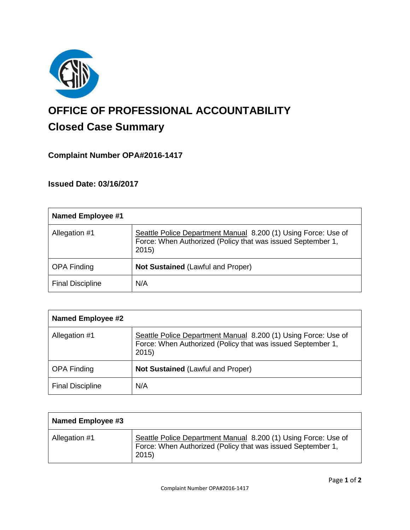

# **OFFICE OF PROFESSIONAL ACCOUNTABILITY Closed Case Summary**

## **Complaint Number OPA#2016-1417**

**Issued Date: 03/16/2017**

| <b>Named Employee #1</b> |                                                                                                                                       |
|--------------------------|---------------------------------------------------------------------------------------------------------------------------------------|
| Allegation #1            | Seattle Police Department Manual 8.200 (1) Using Force: Use of<br>Force: When Authorized (Policy that was issued September 1,<br>2015 |
| <b>OPA Finding</b>       | Not Sustained (Lawful and Proper)                                                                                                     |
| <b>Final Discipline</b>  | N/A                                                                                                                                   |

| <b>Named Employee #2</b> |                                                                                                                                       |
|--------------------------|---------------------------------------------------------------------------------------------------------------------------------------|
| Allegation #1            | Seattle Police Department Manual 8.200 (1) Using Force: Use of<br>Force: When Authorized (Policy that was issued September 1,<br>2015 |
| <b>OPA Finding</b>       | <b>Not Sustained (Lawful and Proper)</b>                                                                                              |
| <b>Final Discipline</b>  | N/A                                                                                                                                   |

| Named Employee #3 |                                                                                                                                        |
|-------------------|----------------------------------------------------------------------------------------------------------------------------------------|
| Allegation #1     | Seattle Police Department Manual 8.200 (1) Using Force: Use of<br>Force: When Authorized (Policy that was issued September 1,<br>2015) |